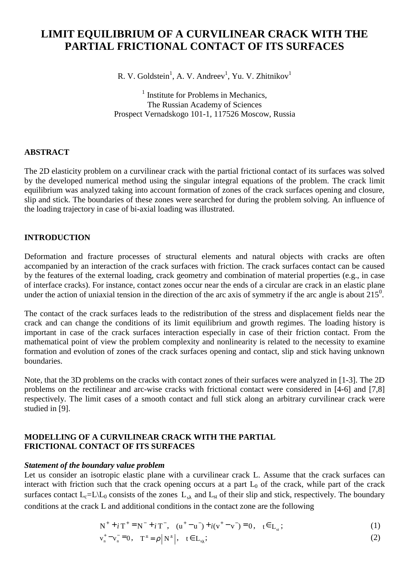# **LIMIT EQUILIBRIUM OF A CURVILINEAR CRACK WITH THE PARTIAL FRICTIONAL CONTACT OF ITS SURFACES**

R. V. Goldstein<sup>1</sup>, A. V. Andreev<sup>1</sup>, Yu. V. Zhitnikov<sup>1</sup>

<sup>1</sup> Institute for Problems in Mechanics, The Russian Academy of Sciences Prospect Vernadskogo 101-1, 117526 Moscow, Russia

# **ABSTRACT**

The 2D elasticity problem on a curvilinear crack with the partial frictional contact of its surfaces was solved by the developed numerical method using the singular integral equations of the problem. The crack limit equilibrium was analyzed taking into account formation of zones of the crack surfaces opening and closure, slip and stick. The boundaries of these zones were searched for during the problem solving. An influence of the loading trajectory in case of bi-axial loading was illustrated.

# **INTRODUCTION**

Deformation and fracture processes of structural elements and natural objects with cracks are often accompanied by an interaction of the crack surfaces with friction. The crack surfaces contact can be caused by the features of the external loading, crack geometry and combination of material properties (e.g., in case of interface cracks). For instance, contact zones occur near the ends of a circular are crack in an elastic plane under the action of uniaxial tension in the direction of the arc axis of symmetry if the arc angle is about  $215^0$ .

The contact of the crack surfaces leads to the redistribution of the stress and displacement fields near the crack and can change the conditions of its limit equilibrium and growth regimes. The loading history is important in case of the crack surfaces interaction especially in case of their friction contact. From the mathematical point of view the problem complexity and nonlinearity is related to the necessity to examine formation and evolution of zones of the crack surfaces opening and contact, slip and stick having unknown boundaries.

Note, that the 3D problems on the cracks with contact zones of their surfaces were analyzed in [1-3]. The 2D problems on the rectilinear and arc-wise cracks with frictional contact were considered in [4-6] and [7,8] respectively. The limit cases of a smooth contact and full stick along an arbitrary curvilinear crack were studied in [9].

# **MODELLING OF A CURVILINEAR CRACK WITH THE PARTIAL FRICTIONAL CONTACT OF ITS SURFACES**

### *Statement of the boundary value problem*

Let us consider an isotropic elastic plane with a curvilinear crack L. Assume that the crack surfaces can interact with friction such that the crack opening occurs at a part  $L_0$  of the crack, while part of the crack surfaces contact  $L_c=L\backslash L_0$  consists of the zones  $L_{s\lambda}$  and  $L_{st}$  of their slip and stick, respectively. The boundary conditions at the crack L and additional conditions in the contact zone are the following

$$
N^{+} + iT^{+} = N^{-} + iT^{-}, \quad (u^{+} - u^{-}) + i(v^{+} - v^{-}) = 0, \quad t \in L_{st};
$$
\n(1)

$$
v_n^+ - v_n^- = 0, \quad T^{\pm} = \rho \left| N^{\pm} \right|, \quad t \in L_{s_\lambda};
$$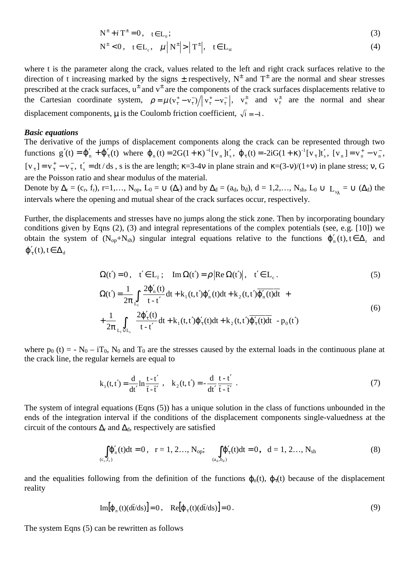$$
N^{\pm} + i T^{\pm} = 0, \quad t \in L_0;
$$
\n<sup>(3)</sup>

$$
N^{\pm} < 0, \quad t \in L_c, \quad \mu \left| N^{\pm} \right| > \left| T^{\pm} \right|, \quad t \in L_{st}
$$

where t is the parameter along the crack, values related to the left and right crack surfaces relative to the direction of t increasing marked by the signs  $\pm$  respectively,  $N^{\pm}$  and  $T^{\pm}$  are the normal and shear stresses prescribed at the crack surfaces,  $u^{\pm}$  and  $v^{\pm}$  are the components of the crack surfaces displacements relative to the Cartesian coordinate system,  $\rho = \mu (v_t^* - v_t^-) / |v_t^* - v_t^-|$ ,  $v_n^{\pm}$  and  $v_t^{\pm}$  are the normal and shear displacement components,  $\mu$  is the Coulomb friction coefficient,  $\sqrt{i} = -1$ .

### *Basic equations*

The derivative of the jumps of displacement components along the crack can be represented through two functions  $g'(t) = \phi'_n + \phi'_\tau(t)$  where  $\phi_n(t) = 2G(1+\kappa)^{-1} [v_n] t'_s$ ,  $\phi_\tau(t) = -2iG(1+\kappa)^{-1} [v_\tau] t'_s$ ,  $[v_n] = v_n^+ - v_n^-$ , − [ $v_{\tau}$ ] =  $v_{\tau}^+$  –  $v_{\tau}^-$ ,  $t_s'$  = dt / ds, s is the are length;  $\kappa$ =3-4 $v$  in plane strain and  $\kappa$ =(3- $v$ )/(1+ $v$ ) in plane stress;  $v$ , G are the Poisson ratio and shear modulus of the material.

Denote by  $\Delta_r = (c_r, f_r)$ , r=1,...,  $N_{op}$ ,  $L_0 = \bigcup (\Delta_r)$  and by  $\Delta_d = (a_d, b_d)$ ,  $d = 1, 2, \ldots, N_{sh}$ ,  $L_0 \cup L_{eq} = \bigcup (\Delta_d)$  the intervals where the opening and mutual shear of the crack surfaces occur, respectively.

Further, the displacements and stresses have no jumps along the stick zone. Then by incorporating boundary conditions given by Eqns (2), (3) and integral representations of the complex potentials (see, e.g. [10]) we obtain the system of  $(N_{op}+N_{sh})$  singular integral equations relative to the functions  $\varphi'_n(t)$ ,  $t \in \Delta_r$  and  $\varphi_{\tau}'(t), t \in \Delta_d$ 

$$
\Omega(t') = 0, \quad t' \in L_f; \quad \text{Im } \Omega(t') = \rho \left| \text{Re } \Omega(t') \right|, \quad t' \in L_c.
$$
\n
$$
\Omega(t') = \frac{1}{2\pi} \int_{L_f} \left[ \frac{2\phi_n'(t)}{t - t'} dt + k_1(t, t')\phi_n'(t)dt + k_2(t, t')\overline{\phi_n'(t)}dt \right] + \frac{1}{2\pi} \int_{L_f \cup L_c} \left[ \frac{2\phi_t'(t)}{t - t'} dt + k_1(t, t')\phi_t'(t)dt + k_2(t, t')\overline{\phi_t'(t)}dt \right] - p_0(t')
$$
\n(6)

where  $p_0$  (t) = -  $N_0$  – iT<sub>0</sub>,  $N_0$  and T<sub>0</sub> are the stresses caused by the external loads in the continuous plane at the crack line, the regular kernels are equal to

$$
k_1(t,t') = \frac{d}{dt'} \ln \frac{t-t'}{t-t'}, \quad k_2(t,t') = -\frac{d}{dt'} \frac{t-t'}{t-t'}.
$$
 (7)

The system of integral equations (Eqns (5)) has a unique solution in the class of functions unbounded in the ends of the integration interval if the conditions of the displacement components single-valuedness at the circuit of the contours  $\Delta_{r}$  and  $\Delta_{d}$ , respectively are satisfied

∫ ϕ′ <sup>=</sup> (c ,f ) n r r (t)dt <sup>0</sup> , r = 1, 2…, Nop; ∫ ϕ′ <sup>τ</sup> = (a ,b ) <sup>d</sup> <sup>d</sup> (t)dt 0**,** d = 1, 2…, Nsh (8)

and the equalities following from the definition of the functions  $\varphi_n(t)$ ,  $\varphi_n(t)$  because of the displacement reality

$$
Im[\varphi_{n}(t)(d\bar{t}/ds)] = 0, \quad Re[\varphi_{\tau}(t)(d\bar{t}/ds)] = 0.
$$
\n(9)

The system Eqns (5) can be rewritten as follows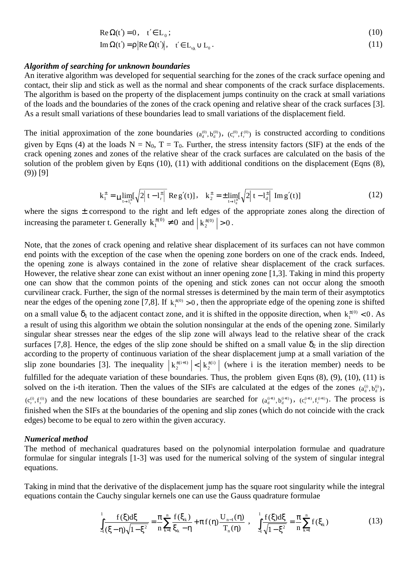$$
\operatorname{Re}\Omega(t') = 0, \quad t' \in L_0; \n\operatorname{Im}\Omega(t') = \rho |\operatorname{Re}\Omega(t')|, \quad t' \in L_{s_{\lambda}} \cup L_0.
$$
\n(11)

#### *Algorithm of searching for unknown boundaries*

An iterative algorithm was developed for sequential searching for the zones of the crack surface opening and contact, their slip and stick as well as the normal and shear components of the crack surface displacements. The algorithm is based on the property of the displacement jumps continuity on the crack at small variations of the loads and the boundaries of the zones of the crack opening and relative shear of the crack surfaces [3]. As a result small variations of these boundaries lead to small variations of the displacement field.

The initial approximation of the zone boundaries  $(a_d^{(0)}, b_d^{(0)})$ ,  $(c_r^{(0)}, f_r^{(0)})$  is constructed according to conditions given by Eqns (4) at the loads  $N = N_0$ ,  $T = T_0$ . Further, the stress intensity factors (SIF) at the ends of the crack opening zones and zones of the relative shear of the crack surfaces are calculated on the basis of the solution of the problem given by Eqns (10), (11) with additional conditions on the displacement (Eqns (8), (9)) [9]

$$
k_1^{\pm} = \mu \lim_{t \to t_r^{\pm}} \left[ \sqrt{2 \left| t - l_r^{\pm} \right|} \right] \text{Re} \, g'(t) \text{],} \quad k_2^{\pm} = \pm \lim_{t \to t_d^{\pm}} \left[ \sqrt{2 \left| t - l_d^{\pm} \right|} \right] \text{Im} \, g'(t) \text{]} \tag{12}
$$

where the signs  $\pm$  correspond to the right and left edges of the appropriate zones along the direction of increasing the parameter t. Generally  $k_1^{\pm (0)} \neq 0$  and  $|k_2^{\pm (0)}| > 0$ .

Note, that the zones of crack opening and relative shear displacement of its surfaces can not have common end points with the exception of the case when the opening zone borders on one of the crack ends. Indeed, the opening zone is always contained in the zone of relative shear displacement of the crack surfaces. However, the relative shear zone can exist without an inner opening zone [1,3]. Taking in mind this property one can show that the common points of the opening and stick zones can not occur along the smooth curvilinear crack. Further, the sign of the normal stresses is determined by the main term of their asymptotics near the edges of the opening zone [7,8]. If  $k_1^{(0)} > 0$ , then the appropriate edge of the opening zone is shifted on a small value  $\delta_1$  to the adjacent contact zone, and it is shifted in the opposite direction, when  $k_1^{\pm(0)} < 0$ . As a result of using this algorithm we obtain the solution nonsingular at the ends of the opening zone. Similarly singular shear stresses near the edges of the slip zone will always lead to the relative shear of the crack surfaces [7,8]. Hence, the edges of the slip zone should be shifted on a small value  $\delta_2$  in the slip direction according to the property of continuous variation of the shear displacement jump at a small variation of the slip zone boundaries [3]. The inequality  $\left| \frac{k_2^{(i+1)}}{2} \right| < \left| \frac{k_2^{(i)}}{2} \right|$  (where i is the iteration member) needs to be fulfilled for the adequate variation of these boundaries. Thus, the problem given Eqns  $(8)$ ,  $(9)$ ,  $(10)$ ,  $(11)$  is solved on the i-th iteration. Then the values of the SIFs are calculated at the edges of the zones  $(a_d^0, b_d^0)$ ,  $(c_r^{(i)}, f_r^{(i)})$  and the new locations of these boundaries are searched for  $(a_d^{(i+1)}, b_d^{(i+1)})$ ,  $(c_r^{(i+1)}, f_r^{(i+1)})$ . The process is finished when the SIFs at the boundaries of the opening and slip zones (which do not coincide with the crack edges) become to be equal to zero within the given accuracy.

### *Numerical method*

The method of mechanical quadratures based on the polynomial interpolation formulae and quadrature formulae for singular integrals [1-3] was used for the numerical solving of the system of singular integral equations.

Taking in mind that the derivative of the displacement jump has the square root singularity while the integral equations contain the Cauchy singular kernels one can use the Gauss quadrature formulae

$$
\int_{-1}^{1} \frac{f(\xi)d\xi}{(\xi-\eta)\sqrt{1-\xi^2}} = \frac{\pi}{n} \sum_{k=1}^{n} \frac{f(\xi_k)}{\xi_k-\eta} + \pi f(\eta) \frac{U_{n-1}(\eta)}{T_n(\eta)}, \quad \int_{-1}^{1} \frac{f(\xi)d\xi}{\sqrt{1-\xi^2}} = \frac{\pi}{n} \sum_{k=1}^{n} f(\xi_k)
$$
(13)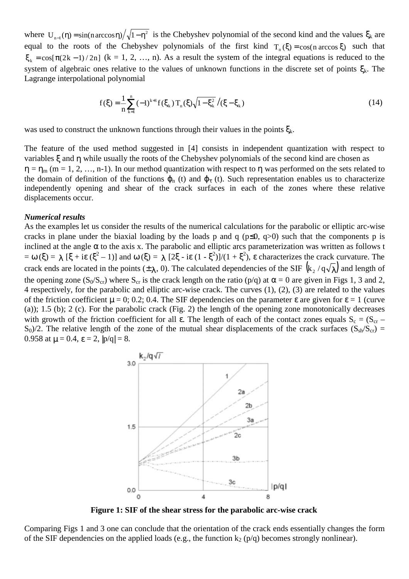where  $U_{n-1}(\eta) = \sin(n \arccos \eta) / \sqrt{1-\eta^2}$  is the Chebyshev polynomial of the second kind and the values  $\xi_k$  are equal to the roots of the Chebyshev polynomials of the first kind  $T_n(\xi) = \cos(n \arccos \xi)$  such that  $\xi_k = \cos[\pi(2k-1)/2n]$  (k = 1, 2, …, n). As a result the system of the integral equations is reduced to the system of algebraic ones relative to the values of unknown functions in the discrete set of points  $\xi_k$ . The Lagrange interpolational polynomial

$$
f(\xi) = \frac{1}{n} \sum_{k=1}^{n} (-1)^{k+1} f(\xi_k) T_n(\xi) \sqrt{1 - \xi_k^2} / (\xi - \xi_k)
$$
 (14)

was used to construct the unknown functions through their values in the points  $\xi_k$ .

The feature of the used method suggested in [4] consists in independent quantization with respect to variables ξ and η while usually the roots of the Chebyshev polynomials of the second kind are chosen as  $\eta = \eta_m$  (m = 1, 2, …, n-1). In our method quantization with respect to  $\eta$  was performed on the sets related to the domain of definition of the functions  $\varphi_n$  (t) and  $\varphi_{\tau}$  (t). Such representation enables us to characterize independently opening and shear of the crack surfaces in each of the zones where these relative displacements occur.

### *Numerical results*

As the examples let us consider the results of the numerical calculations for the parabolic or elliptic arc-wise cracks in plane under the biaxial loading by the loads p and q ( $p\leq 0$ ,  $q>0$ ) such that the components p is inclined at the angle  $\alpha$  to the axis x. The parabolic and elliptic arcs parameterization was written as follows t  $= \omega (\xi) = \lambda [\xi + i\epsilon (\xi^2 - 1)]$  and  $\omega (\xi) = \lambda [2\xi - i\epsilon (1 - \xi^2)]/(1 + \xi^2)$ ,  $\epsilon$  characterizes the crack curvature. The crack ends are located in the points  $(\pm \lambda, 0)$ . The calculated dependencies of the SIF  $(k_2 / q \sqrt{\lambda})$  and length of the opening zone ( $S_0/S_{cr}$ ) where  $S_{cr}$  is the crack length on the ratio (p/q) at  $\alpha = 0$  are given in Figs 1, 3 and 2, 4 respectively, for the parabolic and elliptic arc-wise crack. The curves (1), (2), (3) are related to the values of the friction coefficient  $\mu = 0$ ; 0.2; 0.4. The SIF dependencies on the parameter ε are given for ε = 1 (curve (a)); 1.5 (b); 2 (c). For the parabolic crack (Fig. 2) the length of the opening zone monotonically decreases with growth of the friction coefficient for all  $\varepsilon$ . The length of each of the contact zones equals  $S_c = (S_{cr} S_0/2$ . The relative length of the zone of the mutual shear displacements of the crack surfaces ( $S_{sh}/S_{cr}$ ) = 0.958 at  $\mu = 0.4$ ,  $\epsilon = 2$ ,  $|p/q| = 8$ .



**Figure 1: SIF of the shear stress for the parabolic arc-wise crack**

Comparing Figs 1 and 3 one can conclude that the orientation of the crack ends essentially changes the form of the SIF dependencies on the applied loads (e.g., the function  $k_2$  (p/q) becomes strongly nonlinear).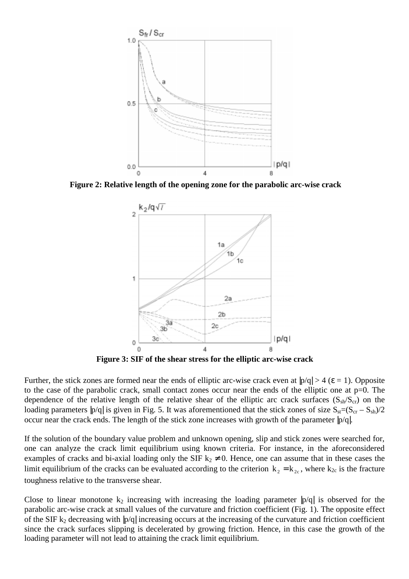

**Figure 2: Relative length of the opening zone for the parabolic arc-wise crack**



**Figure 3: SIF of the shear stress for the elliptic arc-wise crack**

Further, the stick zones are formed near the ends of elliptic arc-wise crack even at  $|p/q| > 4$  ( $\varepsilon = 1$ ). Opposite to the case of the parabolic crack, small contact zones occur near the ends of the elliptic one at  $p=0$ . The dependence of the relative length of the relative shear of the elliptic arc crack surfaces ( $S_{sh}/S_{cr}$ ) on the loading parameters  $|p/q|$  is given in Fig. 5. It was aforementioned that the stick zones of size  $S_{st}=(S_{cr} - S_{sh})/2$ occur near the crack ends. The length of the stick zone increases with growth of the parameter |p/q|.

If the solution of the boundary value problem and unknown opening, slip and stick zones were searched for, one can analyze the crack limit equilibrium using known criteria. For instance, in the aforeconsidered examples of cracks and bi-axial loading only the SIF  $k_2 \neq 0$ . Hence, one can assume that in these cases the limit equilibrium of the cracks can be evaluated according to the criterion  $k_2 = k_{2c}$ , where  $k_{2c}$  is the fracture toughness relative to the transverse shear.

Close to linear monotone  $k_2$  increasing with increasing the loading parameter  $|p/q|$  is observed for the parabolic arc-wise crack at small values of the curvature and friction coefficient (Fig. 1). The opposite effect of the SIF  $k_2$  decreasing with  $|p/q|$  increasing occurs at the increasing of the curvature and friction coefficient since the crack surfaces slipping is decelerated by growing friction. Hence, in this case the growth of the loading parameter will not lead to attaining the crack limit equilibrium.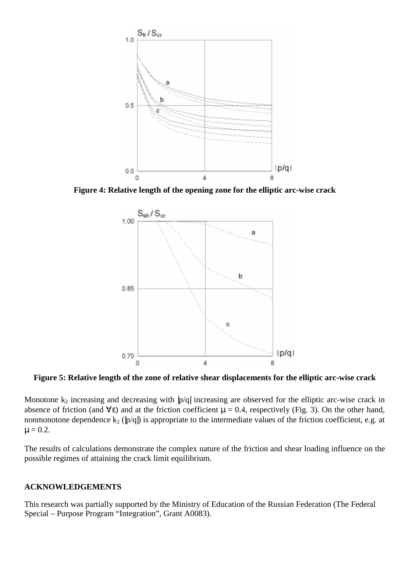

**Figure 4: Relative length of the opening zone for the elliptic arc-wise crack**



**Figure 5: Relative length of the zone of relative shear displacements for the elliptic arc-wise crack**

Monotone  $k_2$  increasing and decreasing with  $|p/q|$  increasing are observed for the elliptic arc-wise crack in absence of friction (and  $\forall \varepsilon$ ) and at the friction coefficient  $\mu = 0.4$ , respectively (Fig. 3). On the other hand, nonmonotone dependence  $k_2$  ( $|p/q|$ ) is appropriate to the intermediate values of the friction coefficient, e.g. at  $\mu = 0.2$ .

The results of calculations demonstrate the complex nature of the friction and shear loading influence on the possible regimes of attaining the crack limit equilibrium.

### **ACKNOWLEDGEMENTS**

This research was partially supported by the Ministry of Education of the Russian Federation (The Federal Special – Purpose Program "Integration", Grant A0083).